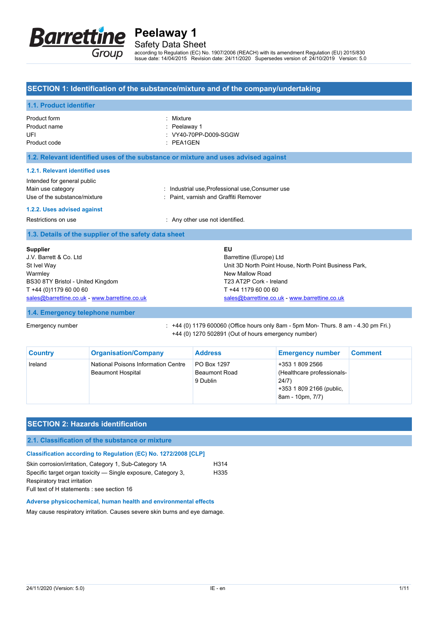

Safety Data Sheet

according to Regulation (EC) No. 1907/2006 (REACH) with its amendment Regulation (EU) 2015/830 Issue date: 14/04/2015 Revision date: 24/11/2020 Supersedes version of: 24/10/2019 Version: 5.0

#### **SECTION 1: Identification of the substance/mixture and of the company/undertaking**

#### **1.1. Product identifier** Product form **: Mixture** Product name : Peelaway 1 UFI : VY40-70PP-D009-SGGW Product code : PEA1GEN **1.2. Relevant identified uses of the substance or mixture and uses advised against 1.2.1. Relevant identified uses** Intended for general public Main use category **industrial use, Professional use, Consumer use** industrial use, Trofessional use, Consumer use Use of the substance/mixture in the substance with the substance of the substance in the substance of the substance of the substance of the substance/mixture in the substance of the substance of the substance of the substa **1.2.2. Uses advised against** Restrictions on use **interest in the COV** Restrictions on use **not** identified. **1.3. Details of the supplier of the safety data sheet 1.4. Emergency telephone number** Emergency number : +44 (0) 1179 600060 (Office hours only 8am - 5pm Mon- Thurs. 8 am - 4.30 pm Fri.) **Supplier** J.V. Barrett & Co. Ltd St Ivel Way Warmley BS30 8TY Bristol - United Kingdom T +44 (0)1179 60 00 60 [sales@barrettine.co.uk](mailto:sales@barrettine.co.uk) -<www.barrettine.co.uk> **EU** Barrettine (Europe) Ltd Unit 3D North Point House, North Point Business Park, New Mallow Road T23 AT2P Cork - Ireland T +44 1179 60 00 60 [sales@barrettine.co.uk](mailto:sales@barrettine.co.uk) -<www.barrettine.co.uk>

+44 (0) 1270 502891 (Out of hours emergency number)

| <b>Country</b> | <b>Organisation/Company</b>                                     | <b>Address</b>                                  | <b>Emergency number</b>                                                                                | <b>Comment</b> |
|----------------|-----------------------------------------------------------------|-------------------------------------------------|--------------------------------------------------------------------------------------------------------|----------------|
| Ireland        | National Poisons Information Centre<br><b>Beaumont Hospital</b> | PO Box 1297<br><b>Beaumont Road</b><br>9 Dublin | +353 1 809 2566<br>(Healthcare professionals-<br>24/7)<br>+353 1 809 2166 (public,<br>8am - 10pm, 7/7) |                |

## **SECTION 2: Hazards identification 2.1. Classification of the substance or mixture Classification according to Regulation (EC) No. 1272/2008 [CLP]** Skin corrosion/irritation, Category 1, Sub-Category 1A H314 Specific target organ toxicity — Single exposure, Category 3, Respiratory tract irritation H335 Full text of H statements : see section 16 **Adverse physicochemical, human health and environmental effects**

May cause respiratory irritation. Causes severe skin burns and eye damage.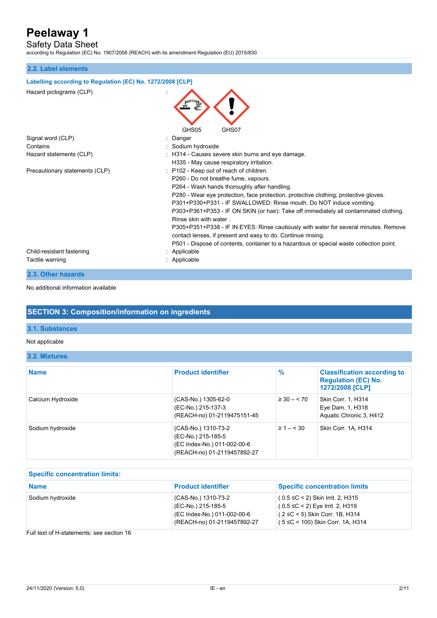Safety Data Sheet

according to Regulation (EC) No. 1907/2006 (REACH) with its amendment Regulation (EU) 2015/830

### **2.2. Label elements**

| Labelling according to Regulation (EC) No. 1272/2008 [CLP] |                                                                                                                                                                                                                                                                                                                                                                                                                                                                                                                                                                                                                                                                      |
|------------------------------------------------------------|----------------------------------------------------------------------------------------------------------------------------------------------------------------------------------------------------------------------------------------------------------------------------------------------------------------------------------------------------------------------------------------------------------------------------------------------------------------------------------------------------------------------------------------------------------------------------------------------------------------------------------------------------------------------|
| Hazard pictograms (CLP)                                    | GHS05<br>GHS07                                                                                                                                                                                                                                                                                                                                                                                                                                                                                                                                                                                                                                                       |
| Signal word (CLP)                                          | : Danger                                                                                                                                                                                                                                                                                                                                                                                                                                                                                                                                                                                                                                                             |
| Contains                                                   | : Sodium hydroxide                                                                                                                                                                                                                                                                                                                                                                                                                                                                                                                                                                                                                                                   |
| Hazard statements (CLP)                                    | : H314 - Causes severe skin burns and eye damage.<br>H335 - May cause respiratory irritation.                                                                                                                                                                                                                                                                                                                                                                                                                                                                                                                                                                        |
| Precautionary statements (CLP)                             | : P102 - Keep out of reach of children.<br>P260 - Do not breathe fume, vapours.<br>P264 - Wash hands thoroughly after handling.<br>P280 - Wear eye protection, face protection, protective clothing, protective gloves.<br>P301+P330+P331 - IF SWALLOWED: Rinse mouth. Do NOT induce vomiting.<br>P303+P361+P353 - IF ON SKIN (or hair): Take off immediately all contaminated clothing.<br>Rinse skin with water<br>P305+P351+P338 - IF IN EYES: Rinse cautiously with water for several minutes. Remove<br>contact lenses, if present and easy to do. Continue rinsing.<br>P501 - Dispose of contents, container to a hazardous or special waste collection point. |
| Child-resistant fastening<br>Tactile warning               | Applicable<br>: Applicable                                                                                                                                                                                                                                                                                                                                                                                                                                                                                                                                                                                                                                           |

**2.3. Other hazards**

No additional information available

### **SECTION 3: Composition/information on ingredients**

### **3.1. Substances**

### Not applicable

#### **3.2. Mixtures**

| <b>Name</b>       | <b>Product identifier</b>                                                                               | $\%$               | <b>Classification according to</b><br><b>Regulation (EC) No.</b><br>1272/2008 [CLP] |
|-------------------|---------------------------------------------------------------------------------------------------------|--------------------|-------------------------------------------------------------------------------------|
| Calcium Hydroxide | (CAS-No.) 1305-62-0<br>(EC-No.) 215-137-3<br>(REACH-no) 01-2119475151-45                                | $\geq 30 - 570$    | Skin Corr. 1, H314<br>Eye Dam. 1, H318<br>Aquatic Chronic 3, H412                   |
| Sodium hydroxide  | (CAS-No.) 1310-73-2<br>(EC-No.) 215-185-5<br>(EC Index-No.) 011-002-00-6<br>(REACH-no) 01-2119457892-27 | $\geq 1 - \leq 30$ | Skin Corr. 1A, H314                                                                 |

| <b>Specific concentration limits:</b> |                                                                                                         |                                                                                                                                                      |  |
|---------------------------------------|---------------------------------------------------------------------------------------------------------|------------------------------------------------------------------------------------------------------------------------------------------------------|--|
| <b>Name</b>                           | <b>Product identifier</b>                                                                               | <b>Specific concentration limits</b>                                                                                                                 |  |
| Sodium hydroxide                      | (CAS-No.) 1310-73-2<br>(EC-No.) 215-185-5<br>(EC Index-No.) 011-002-00-6<br>(REACH-no) 01-2119457892-27 | $(0.5 ≤ C < 2)$ Skin Irrit. 2, H315<br>$(0.5 ≤ C < 2)$ Eye Irrit. 2, H319<br>$(2 \le C < 5)$ Skin Corr. 1B, H314<br>(5 ≤C < 100) Skin Corr. 1A, H314 |  |

#### Full text of H-statements: see section 16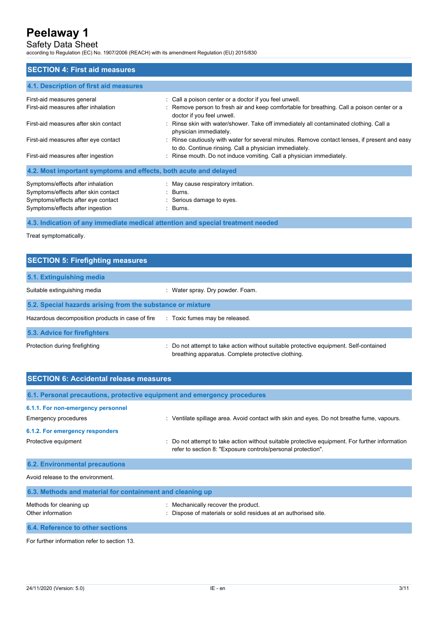Safety Data Sheet

according to Regulation (EC) No. 1907/2006 (REACH) with its amendment Regulation (EU) 2015/830

| <b>SECTION 4: First aid measures</b>                                                                           |                                                                                                                                                         |
|----------------------------------------------------------------------------------------------------------------|---------------------------------------------------------------------------------------------------------------------------------------------------------|
| 4.1. Description of first aid measures                                                                         |                                                                                                                                                         |
| First-aid measures general                                                                                     | : Call a poison center or a doctor if you feel unwell.                                                                                                  |
| First-aid measures after inhalation                                                                            | : Remove person to fresh air and keep comfortable for breathing. Call a poison center or a<br>doctor if you feel unwell.                                |
| First-aid measures after skin contact                                                                          | : Rinse skin with water/shower. Take off immediately all contaminated clothing. Call a<br>physician immediately.                                        |
| First-aid measures after eye contact                                                                           | : Rinse cautiously with water for several minutes. Remove contact lenses, if present and easy<br>to do. Continue rinsing. Call a physician immediately. |
| First-aid measures after ingestion                                                                             | : Rinse mouth. Do not induce vomiting. Call a physician immediately.                                                                                    |
| 4.2. Most important symptoms and effects, both acute and delayed                                               |                                                                                                                                                         |
| Symptoms/effects after inhalation<br>Symptoms/effects after skin contact<br>Symptoms/effects after eye contact | : May cause respiratory irritation.<br>: Burns.<br>: Serious damage to eyes.                                                                            |
| Symptoms/effects after ingestion                                                                               | : Burns.                                                                                                                                                |

**4.3. Indication of any immediate medical attention and special treatment needed**

Treat symptomatically.

| <b>SECTION 5: Firefighting measures</b>                    |                                                                                                                                                 |  |  |
|------------------------------------------------------------|-------------------------------------------------------------------------------------------------------------------------------------------------|--|--|
| 5.1. Extinguishing media                                   |                                                                                                                                                 |  |  |
| Suitable extinguishing media                               | : Water spray. Dry powder. Foam.                                                                                                                |  |  |
| 5.2. Special hazards arising from the substance or mixture |                                                                                                                                                 |  |  |
| Hazardous decomposition products in case of fire           | : Toxic fumes may be released.                                                                                                                  |  |  |
| 5.3. Advice for firefighters                               |                                                                                                                                                 |  |  |
| Protection during firefighting                             | Do not attempt to take action without suitable protective equipment. Self-contained<br>÷.<br>breathing apparatus. Complete protective clothing. |  |  |

| <b>SECTION 6: Accidental release measures</b>                            |                                                                                                                                                                |  |
|--------------------------------------------------------------------------|----------------------------------------------------------------------------------------------------------------------------------------------------------------|--|
| 6.1. Personal precautions, protective equipment and emergency procedures |                                                                                                                                                                |  |
| 6.1.1. For non-emergency personnel<br>Emergency procedures               | : Ventilate spillage area. Avoid contact with skin and eyes. Do not breathe fume, vapours.                                                                     |  |
| 6.1.2. For emergency responders                                          |                                                                                                                                                                |  |
| Protective equipment                                                     | : Do not attempt to take action without suitable protective equipment. For further information<br>refer to section 8: "Exposure controls/personal protection". |  |
| <b>6.2. Environmental precautions</b>                                    |                                                                                                                                                                |  |
| Avoid release to the environment.                                        |                                                                                                                                                                |  |
| 6.3. Methods and material for containment and cleaning up                |                                                                                                                                                                |  |
| Methods for cleaning up<br>Other information                             | : Mechanically recover the product.<br>Dispose of materials or solid residues at an authorised site.                                                           |  |
| 6.4. Reference to other sections                                         |                                                                                                                                                                |  |

For further information refer to section 13.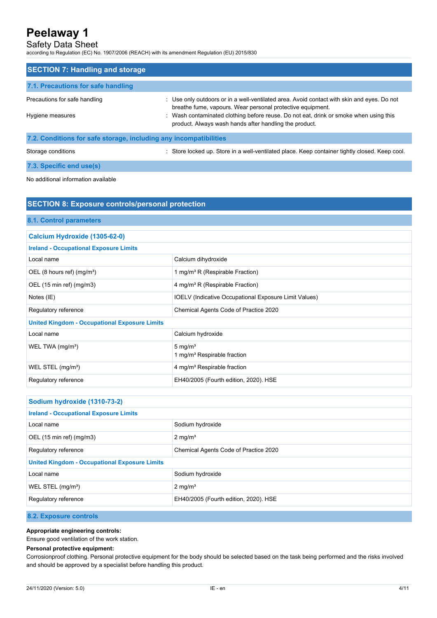Safety Data Sheet

according to Regulation (EC) No. 1907/2006 (REACH) with its amendment Regulation (EU) 2015/830

| <b>SECTION 7: Handling and storage</b>                          |                                                                                                                                                          |
|-----------------------------------------------------------------|----------------------------------------------------------------------------------------------------------------------------------------------------------|
| 7.1. Precautions for safe handling                              |                                                                                                                                                          |
| Precautions for safe handling                                   | : Use only outdoors or in a well-ventilated area. Avoid contact with skin and eyes. Do not<br>breathe fume, vapours. Wear personal protective equipment. |
| Hygiene measures                                                | Wash contaminated clothing before reuse. Do not eat, drink or smoke when using this<br>product. Always wash hands after handling the product.            |
| 22 Canditiona for oate atoroge, including any incompatibilities |                                                                                                                                                          |

**7.2. Conditions for safe storage, including any incompatibilities**

Storage conditions **Store in a well-ventilated place. Keep container tightly closed. Keep cool.** Store locked up. Store in a well-ventilated place. Keep container tightly closed. Keep cool.

**7.3. Specific end use(s)**

No additional information available

| <b>SECTION 8: Exposure controls/personal protection</b> |                                                              |
|---------------------------------------------------------|--------------------------------------------------------------|
| 8.1. Control parameters                                 |                                                              |
| Calcium Hydroxide (1305-62-0)                           |                                                              |
| <b>Ireland - Occupational Exposure Limits</b>           |                                                              |
| Local name                                              | Calcium dihydroxide                                          |
| OEL (8 hours ref) $(mg/m3)$                             | 1 mg/m <sup>3</sup> R (Respirable Fraction)                  |
| OEL (15 min ref) (mg/m3)                                | 4 mg/m <sup>3</sup> R (Respirable Fraction)                  |
| Notes (IE)                                              | <b>IOELV</b> (Indicative Occupational Exposure Limit Values) |
| Regulatory reference                                    | Chemical Agents Code of Practice 2020                        |
| <b>United Kingdom - Occupational Exposure Limits</b>    |                                                              |
| Local name                                              | Calcium hydroxide                                            |
| WEL TWA (mg/m <sup>3</sup> )                            | 5 mg/ $m3$<br>1 mg/m <sup>3</sup> Respirable fraction        |
| WEL STEL $(mg/m3)$                                      | 4 mg/m <sup>3</sup> Respirable fraction                      |
| Regulatory reference                                    | EH40/2005 (Fourth edition, 2020). HSE                        |

| Sodium hydroxide (1310-73-2)                         |                                       |
|------------------------------------------------------|---------------------------------------|
| <b>Ireland - Occupational Exposure Limits</b>        |                                       |
| Local name                                           | Sodium hydroxide                      |
| OEL $(15 \text{ min ref})$ $(mg/m3)$                 | $2 \text{ mg/m}^3$                    |
| Regulatory reference                                 | Chemical Agents Code of Practice 2020 |
| <b>United Kingdom - Occupational Exposure Limits</b> |                                       |
| Local name                                           | Sodium hydroxide                      |
| WEL STEL $(mg/m3)$                                   | $2 \text{ mg/m}^3$                    |
| Regulatory reference                                 | EH40/2005 (Fourth edition, 2020). HSE |

### **8.2. Exposure controls**

**Appropriate engineering controls:**

Ensure good ventilation of the work station.

#### **Personal protective equipment:**

Corrosionproof clothing. Personal protective equipment for the body should be selected based on the task being performed and the risks involved and should be approved by a specialist before handling this product.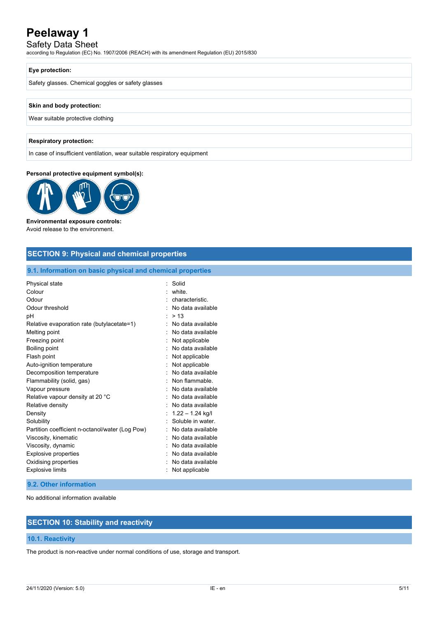## Safety Data Sheet

according to Regulation (EC) No. 1907/2006 (REACH) with its amendment Regulation (EU) 2015/830

#### **Eye protection:**

Safety glasses. Chemical goggles or safety glasses

#### **Skin and body protection:**

Wear suitable protective clothing

#### **Respiratory protection:**

In case of insufficient ventilation, wear suitable respiratory equipment

#### **Personal protective equipment symbol(s):**



### **Environmental exposure controls:**

Avoid release to the environment.

### **SECTION 9: Physical and chemical properties**

#### **9.1. Information on basic physical and chemical properties**

| Physical state                                  | Solid              |
|-------------------------------------------------|--------------------|
| Colour                                          | white.             |
| Odour                                           | characteristic     |
| Odour threshold                                 | No data available  |
| рH                                              | > 13               |
| Relative evaporation rate (butylacetate=1)      | No data available  |
| Melting point                                   | No data available  |
| Freezing point                                  | Not applicable     |
| Boiling point                                   | No data available  |
| Flash point                                     | Not applicable     |
| Auto-ignition temperature                       | Not applicable     |
| Decomposition temperature                       | No data available  |
| Flammability (solid, gas)                       | Non flammable      |
| Vapour pressure                                 | No data available  |
| Relative vapour density at 20 °C                | No data available  |
| Relative density                                | No data available  |
| Density                                         | $1.22 - 1.24$ kg/l |
| Solubility                                      | Soluble in water.  |
| Partition coefficient n-octanol/water (Log Pow) | No data available  |
| Viscosity, kinematic                            | No data available  |
| Viscosity, dynamic                              | No data available  |
| Explosive properties                            | No data available  |
| Oxidising properties                            | No data available  |
| <b>Explosive limits</b>                         | Not applicable     |

#### **9.2. Other information**

No additional information available

## **SECTION 10: Stability and reactivity**

#### **10.1. Reactivity**

The product is non-reactive under normal conditions of use, storage and transport.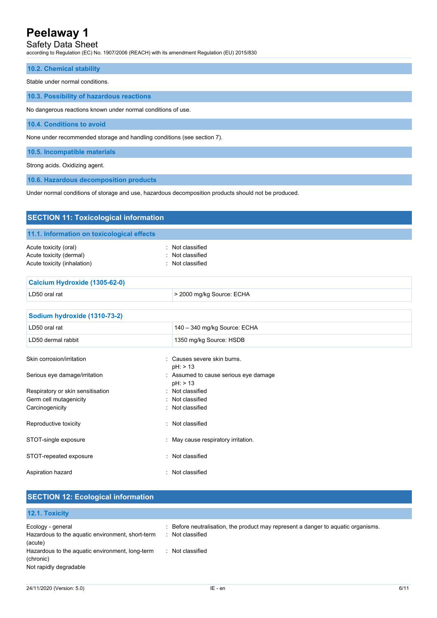## Safety Data Sheet

according to Regulation (EC) No. 1907/2006 (REACH) with its amendment Regulation (EU) 2015/830

|--|

Stable under normal conditions.

**10.3. Possibility of hazardous reactions**

No dangerous reactions known under normal conditions of use.

**10.4. Conditions to avoid**

None under recommended storage and handling conditions (see section 7).

**10.5. Incompatible materials**

Strong acids. Oxidizing agent.

**10.6. Hazardous decomposition products**

Under normal conditions of storage and use, hazardous decomposition products should not be produced.

| <b>SECTION 11: Toxicological information</b>                                    |                                                        |  |
|---------------------------------------------------------------------------------|--------------------------------------------------------|--|
| 11.1. Information on toxicological effects                                      |                                                        |  |
| Acute toxicity (oral)<br>Acute toxicity (dermal)<br>Acute toxicity (inhalation) | : Not classified<br>Not classified<br>: Not classified |  |
| Calcium Hydroxide (1305-62-0)                                                   |                                                        |  |
| LD50 oral rat                                                                   | > 2000 mg/kg Source: ECHA                              |  |
| Sodium hydroxide (1310-73-2)                                                    |                                                        |  |
| LD50 oral rat                                                                   | 140 - 340 mg/kg Source: ECHA                           |  |
| LD50 dermal rabbit                                                              | 1350 mg/kg Source: HSDB                                |  |
| Skin corrosion/irritation                                                       | : Causes severe skin burns.<br>pH: > 13                |  |
| Serious eye damage/irritation                                                   | : Assumed to cause serious eye damage<br>pH: > 13      |  |
| Respiratory or skin sensitisation                                               | : Not classified                                       |  |
| Germ cell mutagenicity                                                          | : Not classified                                       |  |
| Carcinogenicity                                                                 | : Not classified                                       |  |
| Reproductive toxicity                                                           | : Not classified                                       |  |
| STOT-single exposure                                                            | : May cause respiratory irritation.                    |  |
| STOT-repeated exposure                                                          | Not classified<br>÷.                                   |  |
| Aspiration hazard                                                               | Not classified<br>t.                                   |  |

| <b>SECTION 12: Ecological information</b>                                              |                                                                                                       |
|----------------------------------------------------------------------------------------|-------------------------------------------------------------------------------------------------------|
| 12.1. Toxicity                                                                         |                                                                                                       |
| Ecology - general<br>Hazardous to the aquatic environment, short-term<br>(acute)       | : Before neutralisation, the product may represent a danger to aquatic organisms.<br>: Not classified |
| Hazardous to the aquatic environment, long-term<br>(chronic)<br>Not rapidly degradable | : Not classified                                                                                      |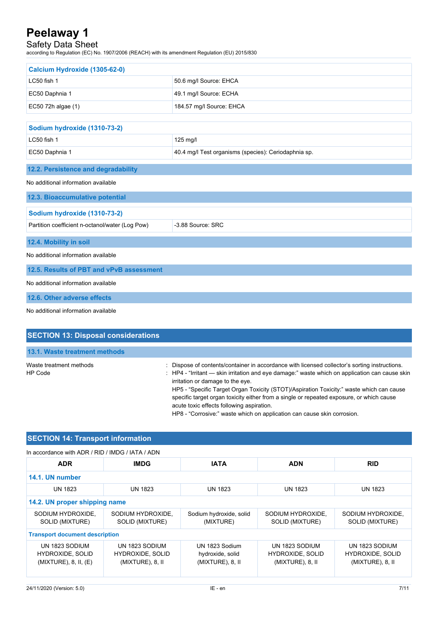## Safety Data Sheet

according to Regulation (EC) No. 1907/2006 (REACH) with its amendment Regulation (EU) 2015/830

| Calcium Hydroxide (1305-62-0)                   |                                                      |  |
|-------------------------------------------------|------------------------------------------------------|--|
| LC50 fish 1                                     |                                                      |  |
|                                                 | 50.6 mg/l Source: EHCA                               |  |
| EC50 Daphnia 1                                  | 49.1 mg/l Source: ECHA                               |  |
| EC50 72h algae (1)                              | 184.57 mg/l Source: EHCA                             |  |
| Sodium hydroxide (1310-73-2)                    |                                                      |  |
| LC50 fish 1                                     | 125 mg/l                                             |  |
| EC50 Daphnia 1                                  | 40.4 mg/l Test organisms (species): Ceriodaphnia sp. |  |
| 12.2. Persistence and degradability             |                                                      |  |
| No additional information available             |                                                      |  |
| 12.3. Bioaccumulative potential                 |                                                      |  |
| Sodium hydroxide (1310-73-2)                    |                                                      |  |
| Partition coefficient n-octanol/water (Log Pow) | -3.88 Source: SRC                                    |  |
| 12.4. Mobility in soil                          |                                                      |  |
| No additional information available             |                                                      |  |
| 12.5. Results of PBT and vPvB assessment        |                                                      |  |
| No additional information available             |                                                      |  |
| 12.6. Other adverse effects                     |                                                      |  |
| No additional information available             |                                                      |  |

| <b>SECTION 13: Disposal considerations</b> |                                                                                                                                                                                                                                                                                                                                                                                                                                                                                                                                                                |
|--------------------------------------------|----------------------------------------------------------------------------------------------------------------------------------------------------------------------------------------------------------------------------------------------------------------------------------------------------------------------------------------------------------------------------------------------------------------------------------------------------------------------------------------------------------------------------------------------------------------|
| 13.1. Waste treatment methods              |                                                                                                                                                                                                                                                                                                                                                                                                                                                                                                                                                                |
| Waste treatment methods<br>HP Code         | : Dispose of contents/container in accordance with licensed collector's sorting instructions.<br>$\therefore$ HP4 - "Irritant — skin irritation and eye damage:" waste which on application can cause skin<br>irritation or damage to the eye.<br>HP5 - "Specific Target Organ Toxicity (STOT)/Aspiration Toxicity:" waste which can cause<br>specific target organ toxicity either from a single or repeated exposure, or which cause<br>acute toxic effects following aspiration.<br>HP8 - "Corrosive:" waste which on application can cause skin corrosion. |

## **SECTION 14: Transport information**

| In accordance with ADR / RID / IMDG / IATA / ADN |  |
|--------------------------------------------------|--|
|                                                  |  |

| <b>ADR</b>                                                         | <b>IMDG</b>                                                   | <b>IATA</b>                                               | <b>ADN</b>                                                    | <b>RID</b>                                                    |
|--------------------------------------------------------------------|---------------------------------------------------------------|-----------------------------------------------------------|---------------------------------------------------------------|---------------------------------------------------------------|
| 14.1. UN number                                                    |                                                               |                                                           |                                                               |                                                               |
| <b>UN 1823</b>                                                     | <b>UN 1823</b>                                                | <b>UN 1823</b>                                            | <b>UN 1823</b>                                                | <b>UN 1823</b>                                                |
| 14.2. UN proper shipping name                                      |                                                               |                                                           |                                                               |                                                               |
| SODIUM HYDROXIDE,<br>SOLID (MIXTURE)                               | SODIUM HYDROXIDE.<br>SOLID (MIXTURE)                          | Sodium hydroxide, solid<br>(MIXTURE)                      | SODIUM HYDROXIDE.<br>SOLID (MIXTURE)                          | SODIUM HYDROXIDE.<br>SOLID (MIXTURE)                          |
| <b>Transport document description</b>                              |                                                               |                                                           |                                                               |                                                               |
| UN 1823 SODIUM<br><b>HYDROXIDE, SOLID</b><br>(MIXTURE), 8, II, (E) | UN 1823 SODIUM<br><b>HYDROXIDE, SOLID</b><br>(MIXTURE), 8, II | UN 1823 Sodium<br>hydroxide, solid<br>$(MIXTURE)$ , 8, II | UN 1823 SODIUM<br><b>HYDROXIDE, SOLID</b><br>(MIXTURE), 8, II | UN 1823 SODIUM<br><b>HYDROXIDE, SOLID</b><br>(MIXTURE), 8, II |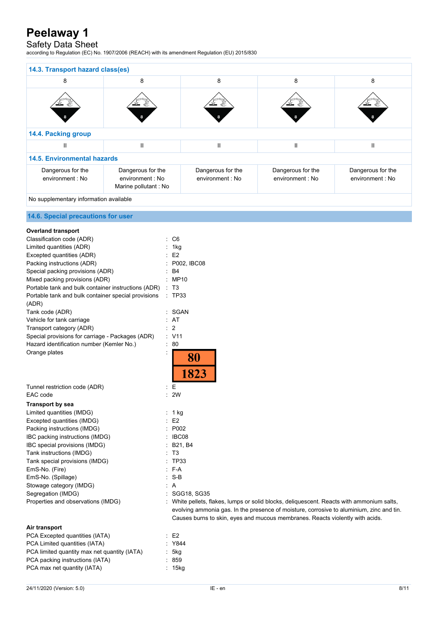## Safety Data Sheet

according to Regulation (EC) No. 1907/2006 (REACH) with its amendment Regulation (EU) 2015/830

| 14.3. Transport hazard class(es)       |                                                               |                                       |                                       |                                       |
|----------------------------------------|---------------------------------------------------------------|---------------------------------------|---------------------------------------|---------------------------------------|
| 8                                      | 8                                                             | 8                                     | 8                                     | 8                                     |
|                                        |                                                               |                                       |                                       |                                       |
| 14.4. Packing group                    |                                                               |                                       |                                       |                                       |
| Ш                                      | $\mathbf{I}$                                                  | $\mathsf{II}$                         | $\mathbf{I}$                          | $\mathbf{I}$                          |
| <b>14.5. Environmental hazards</b>     |                                                               |                                       |                                       |                                       |
| Dangerous for the<br>environment : No  | Dangerous for the<br>environment : No<br>Marine pollutant: No | Dangerous for the<br>environment : No | Dangerous for the<br>environment : No | Dangerous for the<br>environment : No |
| No supplementary information available |                                                               |                                       |                                       |                                       |

### **14.6. Special precautions for user**

| <b>Overland transport</b>                           |   |                                                                                          |
|-----------------------------------------------------|---|------------------------------------------------------------------------------------------|
| Classification code (ADR)                           |   | C <sub>6</sub>                                                                           |
| Limited quantities (ADR)                            |   | 1kg                                                                                      |
| Excepted quantities (ADR)                           |   | E2                                                                                       |
| Packing instructions (ADR)                          |   | P002, IBC08                                                                              |
| Special packing provisions (ADR)                    |   | B4                                                                                       |
| Mixed packing provisions (ADR)                      |   | MP10                                                                                     |
| Portable tank and bulk container instructions (ADR) |   | T3                                                                                       |
| Portable tank and bulk container special provisions |   | : TP33                                                                                   |
| (ADR)                                               |   |                                                                                          |
| Tank code (ADR)                                     |   | SGAN                                                                                     |
| Vehicle for tank carriage                           |   | AT                                                                                       |
| Transport category (ADR)                            |   | 2                                                                                        |
| Special provisions for carriage - Packages (ADR)    |   | : V11                                                                                    |
| Hazard identification number (Kemler No.)           | ÷ | 80                                                                                       |
| Orange plates                                       |   | 80<br>1823                                                                               |
| Tunnel restriction code (ADR)                       |   | Е                                                                                        |
| EAC code                                            |   | 2W                                                                                       |
| <b>Transport by sea</b>                             |   |                                                                                          |
| Limited quantities (IMDG)                           |   | : 1 kg                                                                                   |
| Excepted quantities (IMDG)                          |   | E <sub>2</sub>                                                                           |
| Packing instructions (IMDG)                         |   | P002                                                                                     |
| IBC packing instructions (IMDG)                     |   | IBC08                                                                                    |
| IBC special provisions (IMDG)                       |   | B21, B4                                                                                  |
| Tank instructions (IMDG)                            |   | ТЗ                                                                                       |
| Tank special provisions (IMDG)                      |   | <b>TP33</b>                                                                              |
| EmS-No. (Fire)                                      |   | F-A                                                                                      |
| EmS-No. (Spillage)                                  |   | $S-B$                                                                                    |
| Stowage category (IMDG)                             |   | A                                                                                        |
| Segregation (IMDG)                                  |   | SGG18, SG35                                                                              |
| Properties and observations (IMDG)                  |   | White pellets, flakes, lumps or solid blocks, deliquescent. Reacts with ammonium salts,  |
|                                                     |   | evolving ammonia gas. In the presence of moisture, corrosive to aluminium, zinc and tin. |
|                                                     |   | Causes burns to skin, eyes and mucous membranes. Reacts violently with acids.            |
| Air transport                                       |   |                                                                                          |
| PCA Excepted quantities (IATA)                      |   | E <sub>2</sub>                                                                           |
| PCA Limited quantities (IATA)                       |   | Y844                                                                                     |
| PCA limited quantity max net quantity (IATA)        |   | 5kg                                                                                      |
| PCA packing instructions (IATA)                     |   | 859                                                                                      |

PCA packing instructions (IATA)

PCA max net quantity (IATA) : 15kg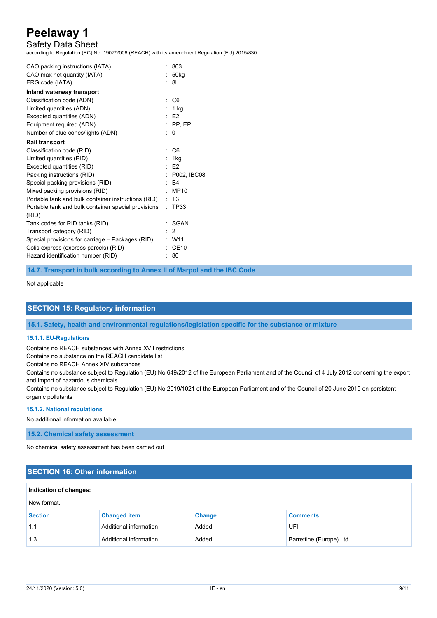## Safety Data Sheet

according to Regulation (EC) No. 1907/2006 (REACH) with its amendment Regulation (EU) 2015/830

| CAO packing instructions (IATA)                              |    | 863                |
|--------------------------------------------------------------|----|--------------------|
| CAO max net quantity (IATA)                                  |    | : 50kg             |
| ERG code (IATA)                                              |    | : 8L               |
| Inland waterway transport                                    |    |                    |
| Classification code (ADN)                                    | ÷. | C <sub>6</sub>     |
| Limited quantities (ADN)                                     |    | : 1 ka             |
| Excepted quantities (ADN)                                    |    | $·$ F2             |
| Equipment required (ADN)                                     |    | $:$ PP.EP          |
| Number of blue cones/lights (ADN)                            |    | : 0                |
| <b>Rail transport</b>                                        |    |                    |
| Classification code (RID)                                    | ٠. | C <sub>6</sub>     |
| Limited quantities (RID)                                     |    | : 1ka              |
| Excepted quantities (RID)                                    |    | $·$ F <sub>2</sub> |
| Packing instructions (RID)                                   |    | : P002. IBC08      |
| Special packing provisions (RID)                             | ۰. | <b>B4</b>          |
| Mixed packing provisions (RID)                               |    | MP10               |
| Portable tank and bulk container instructions (RID)          |    | : T3               |
| Portable tank and bulk container special provisions<br>(RID) | ۰. | <b>TP33</b>        |
| Tank codes for RID tanks (RID)                               |    | SGAN               |
| Transport category (RID)                                     |    | 2                  |
| Special provisions for carriage – Packages (RID)             |    | $\cdot$ W11        |
| Colis express (express parcels) (RID)                        |    | CE10               |
| Hazard identification number (RID)                           |    | 80                 |
|                                                              |    |                    |

**14.7. Transport in bulk according to Annex II of Marpol and the IBC Code**

Not applicable

### **SECTION 15: Regulatory information**

**15.1. Safety, health and environmental regulations/legislation specific for the substance or mixture**

#### **15.1.1. EU-Regulations**

Contains no REACH substances with Annex XVII restrictions

Contains no substance on the REACH candidate list

Contains no REACH Annex XIV substances

Contains no substance subject to Regulation (EU) No 649/2012 of the European Parliament and of the Council of 4 July 2012 concerning the export and import of hazardous chemicals.

Contains no substance subject to Regulation (EU) No 2019/1021 of the European Parliament and of the Council of 20 June 2019 on persistent organic pollutants

#### **15.1.2. National regulations**

No additional information available

**15.2. Chemical safety assessment**

No chemical safety assessment has been carried out

## **SECTION 16: Other information**

| Indication of changes: |                        |               |                         |  |
|------------------------|------------------------|---------------|-------------------------|--|
| New format.            |                        |               |                         |  |
| <b>Section</b>         | <b>Changed item</b>    | <b>Change</b> | <b>Comments</b>         |  |
| 1.1                    | Additional information | Added         | UFI                     |  |
| 1.3                    | Additional information | Added         | Barrettine (Europe) Ltd |  |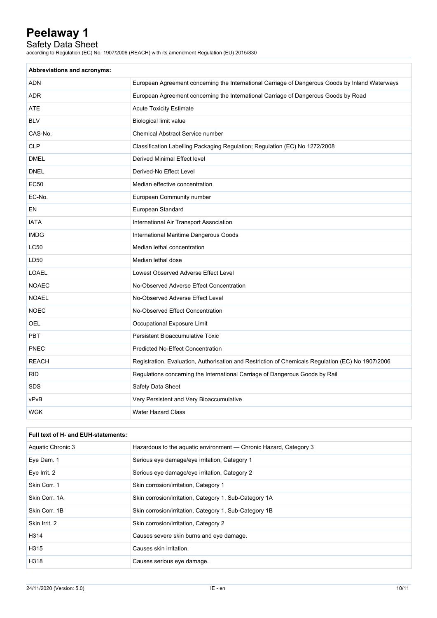## Safety Data Sheet

according to Regulation (EC) No. 1907/2006 (REACH) with its amendment Regulation (EU) 2015/830

| Abbreviations and acronyms: |                                                                                                   |
|-----------------------------|---------------------------------------------------------------------------------------------------|
| <b>ADN</b>                  | European Agreement concerning the International Carriage of Dangerous Goods by Inland Waterways   |
| <b>ADR</b>                  | European Agreement concerning the International Carriage of Dangerous Goods by Road               |
| ATE                         | <b>Acute Toxicity Estimate</b>                                                                    |
| <b>BLV</b>                  | <b>Biological limit value</b>                                                                     |
| CAS-No.                     | Chemical Abstract Service number                                                                  |
| <b>CLP</b>                  | Classification Labelling Packaging Regulation; Regulation (EC) No 1272/2008                       |
| <b>DMEL</b>                 | Derived Minimal Effect level                                                                      |
| <b>DNEL</b>                 | Derived-No Effect Level                                                                           |
| EC50                        | Median effective concentration                                                                    |
| EC-No.                      | European Community number                                                                         |
| EN                          | European Standard                                                                                 |
| <b>IATA</b>                 | International Air Transport Association                                                           |
| <b>IMDG</b>                 | International Maritime Dangerous Goods                                                            |
| <b>LC50</b>                 | Median lethal concentration                                                                       |
| LD50                        | Median lethal dose                                                                                |
| <b>LOAEL</b>                | Lowest Observed Adverse Effect Level                                                              |
| <b>NOAEC</b>                | No-Observed Adverse Effect Concentration                                                          |
| <b>NOAEL</b>                | No-Observed Adverse Effect Level                                                                  |
| <b>NOEC</b>                 | No-Observed Effect Concentration                                                                  |
| <b>OEL</b>                  | Occupational Exposure Limit                                                                       |
| <b>PBT</b>                  | <b>Persistent Bioaccumulative Toxic</b>                                                           |
| PNEC                        | <b>Predicted No-Effect Concentration</b>                                                          |
| <b>REACH</b>                | Registration, Evaluation, Authorisation and Restriction of Chemicals Regulation (EC) No 1907/2006 |
| <b>RID</b>                  | Regulations concerning the International Carriage of Dangerous Goods by Rail                      |
| <b>SDS</b>                  | Safety Data Sheet                                                                                 |
| vPvB                        | Very Persistent and Very Bioaccumulative                                                          |
| <b>WGK</b>                  | <b>Water Hazard Class</b>                                                                         |

### **Full text of H- and EUH-statements:**

| Aquatic Chronic 3 | Hazardous to the aquatic environment — Chronic Hazard, Category 3 |
|-------------------|-------------------------------------------------------------------|
| Eye Dam. 1        | Serious eye damage/eye irritation, Category 1                     |
| Eye Irrit. 2      | Serious eye damage/eye irritation, Category 2                     |
| Skin Corr. 1      | Skin corrosion/irritation, Category 1                             |
| Skin Corr. 1A     | Skin corrosion/irritation, Category 1, Sub-Category 1A            |
| Skin Corr. 1B     | Skin corrosion/irritation, Category 1, Sub-Category 1B            |
| Skin Irrit. 2     | Skin corrosion/irritation, Category 2                             |
| H314              | Causes severe skin burns and eye damage.                          |
| H315              | Causes skin irritation.                                           |
| H318              | Causes serious eye damage.                                        |